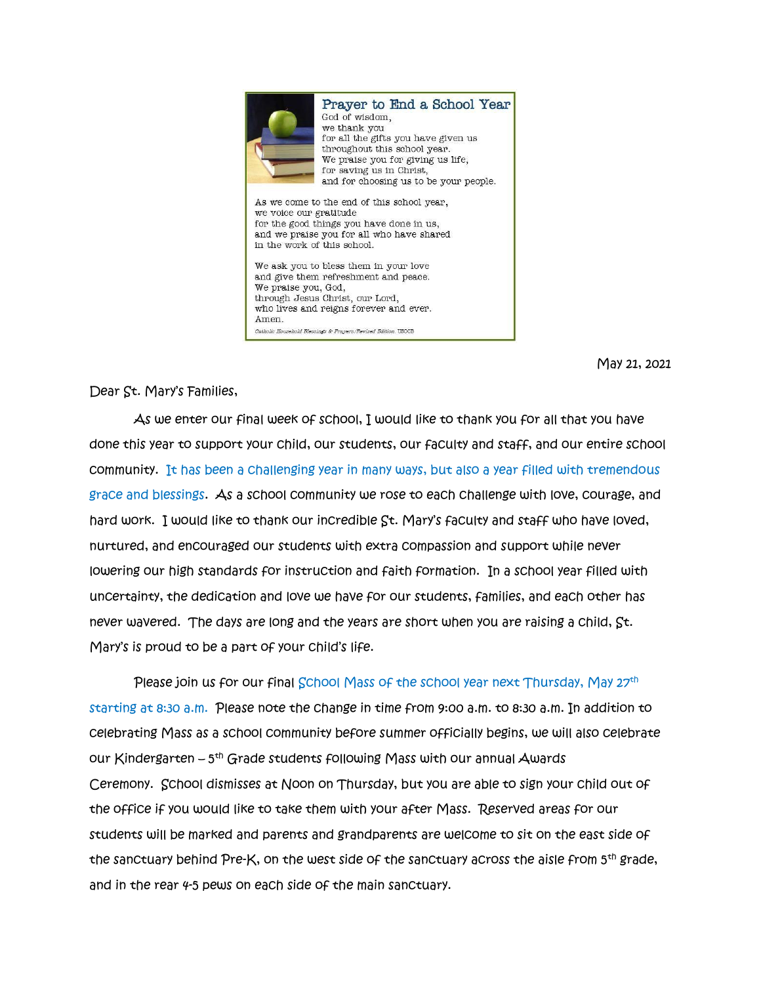

May 21, 2021

Dear St. Mary's Families,

 As we enter our final week of school, I would like to thank you for all that you have done this year to support your child, our students, our faculty and staff, and our entire school community. It has been a challenging year in many ways, but also a year filled with tremendous grace and blessings. As a school community we rose to each challenge with love, courage, and hard work. I would like to thank our incredible St. Mary's faculty and staff who have loved, nurtured, and encouraged our students with extra compassion and support while never lowering our high standards for instruction and faith formation. In a school year filled with uncertainty, the dedication and love we have for our students, families, and each other has never wavered. The days are long and the years are short when you are raising a child, St. Mary's is proud to be a part of your child's life.

Please join us for our final School Mass of the school year next Thursday, May 27th starting at 8:30 a.m. Please note the change in time from 9:00 a.m. to 8:30 a.m. In addition to celebrating Mass as a school community before summer officially begins, we will also celebrate our Kindergarten – 5<sup>th</sup> Grade students following Mass with our annual Awards Ceremony. School dismisses at Noon on Thursday, but you are able to sign your child out of the office if you would like to take them with your after Mass. Reserved areas for our students will be marked and parents and grandparents are welcome to sit on the east side of the sanctuary behind Pre-K, on the west side of the sanctuary across the aisle from 5<sup>th</sup> grade, and in the rear 4-5 pews on each side of the main sanctuary.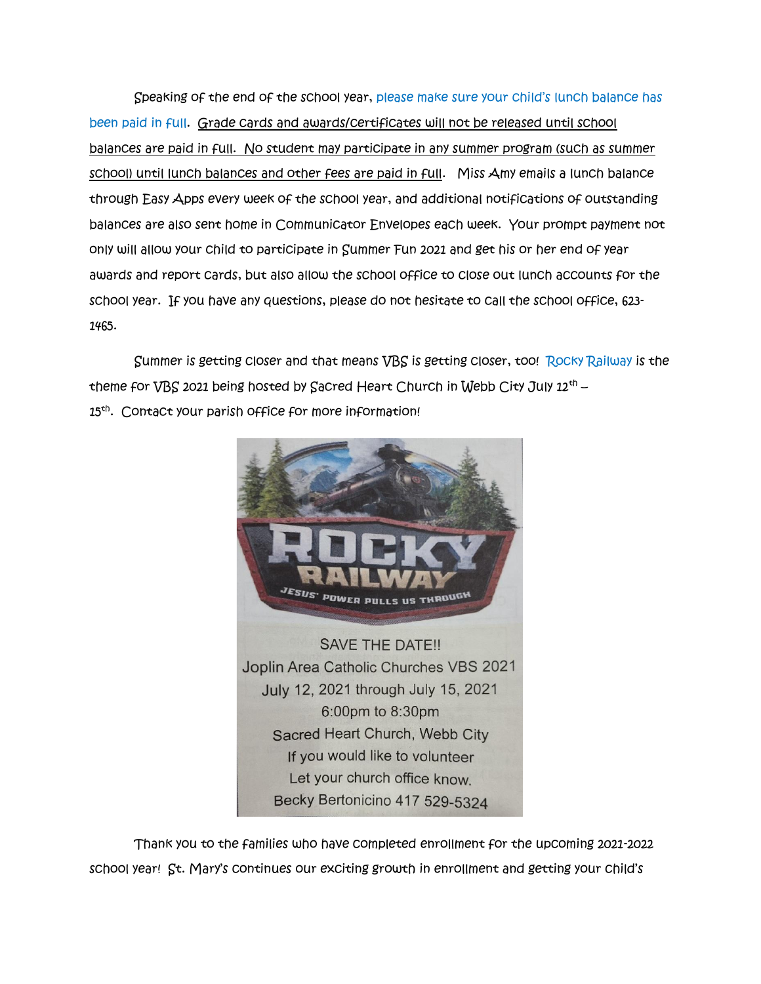Speaking of the end of the school year, please make sure your child's lunch balance has been paid in full. Grade cards and awards/certificates will not be released until school balances are paid in full. No student may participate in any summer program (such as summer school) until lunch balances and other fees are paid in full. Miss Amy emails a lunch balance through Easy Apps every week of the school year, and additional notifications of outstanding balances are also sent home in Communicator Envelopes each week. Your prompt payment not only will allow your child to participate in Summer Fun 2021 and get his or her end of year awards and report cards, but also allow the school office to close out lunch accounts for the school year. If you have any questions, please do not hesitate to call the school office, 623- 1465.

 Summer is getting closer and that means VBS is getting closer, too! Rocky Railway is the theme for VBS 2021 being hosted by Sacred Heart Church in Webb City July 12th – 15th . Contact your parish office for more information!



Becky Bertonicino 417 529-5324

Thank you to the families who have completed enrollment for the upcoming 2021-2022 school year! St. Mary's continues our exciting growth in enrollment and getting your child's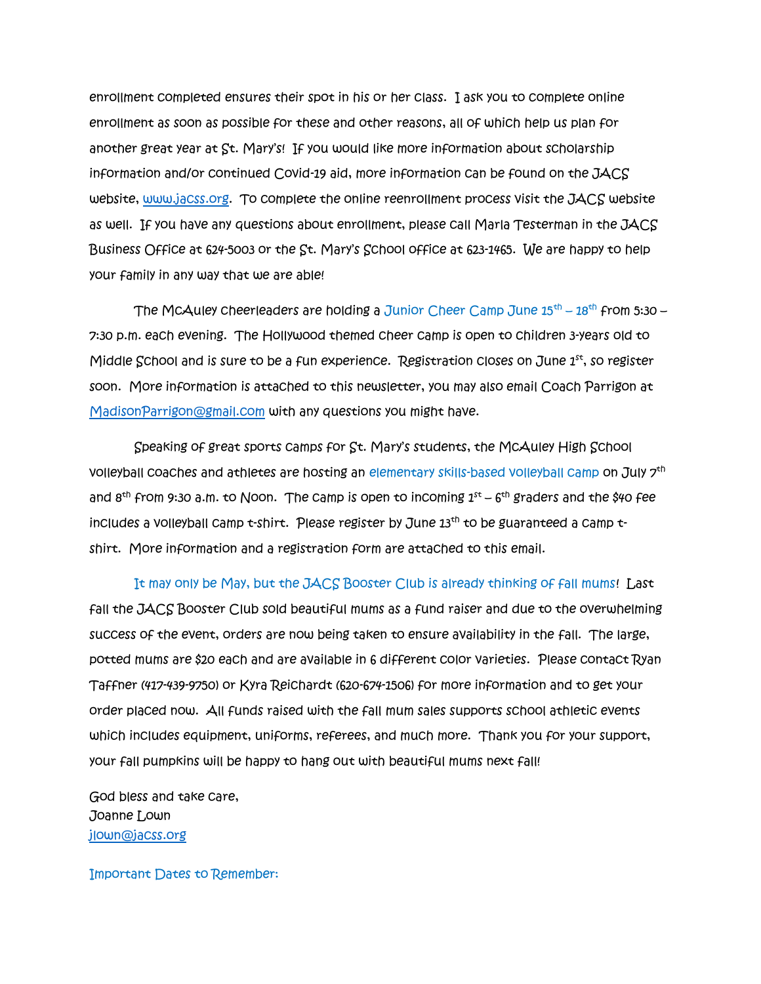enrollment completed ensures their spot in his or her class. I ask you to complete online enrollment as soon as possible for these and other reasons, all of which help us plan for another great year at St. Mary's! If you would like more information about scholarship information and/or continued Covid-19 aid, more information can be found on the JACS website, [www.jacss.org.](http://www.jacss.org/) To complete the online reenrollment process visit the JACS website as well. If you have any questions about enrollment, please call Marla Testerman in the JACS Business Office at 624-5003 or the St. Mary's School office at 623-1465. We are happy to help your family in any way that we are able!

The McAuley cheerleaders are holding a Junior Cheer Camp June 15<sup>th</sup> – 18<sup>th</sup> from 5:30 – 7:30 p.m. each evening. The Hollywood themed cheer camp is open to children 3-years old to Middle School and is sure to be a fun experience. Registration closes on June  $1<sup>st</sup>$ , so register soon. More information is attached to this newsletter, you may also email Coach Parrigon at [MadisonParrigon@gmail.com](mailto:MadisonParrigon@gmail.com) with any questions you might have.

 Speaking of great sports camps for St. Mary's students, the McAuley High School volleyball coaches and athletes are hosting an elementary skills-based volleyball camp on July 7th and  $8^\text{th}$  from 9:30 a.m. to Noon. The camp is open to incoming  $1^\text{st}$  –  $6^\text{th}$  graders and the \$40 fee includes a volleyball camp t-shirt. Please register by June 13<sup>th</sup> to be guaranteed a camp tshirt. More information and a registration form are attached to this email.

It may only be May, but the JACS Booster Club is already thinking of fall mums! Last fall the JACS Booster Club sold beautiful mums as a fund raiser and due to the overwhelming success of the event, orders are now being taken to ensure availability in the fall. The large, potted mums are \$20 each and are available in 6 different color varieties. Please contact Ryan Taffner (417-439-9750) or Kyra Reichardt (620-674-1506) for more information and to get your order placed now. All funds raised with the fall mum sales supports school athletic events which includes equipment, uniforms, referees, and much more. Thank you for your support, your fall pumpkins will be happy to hang out with beautiful mums next fall!

God bless and take care, Joanne Lown [jlown@jacss.org](mailto:jlown@jacss.org)

Important Dates to Remember: